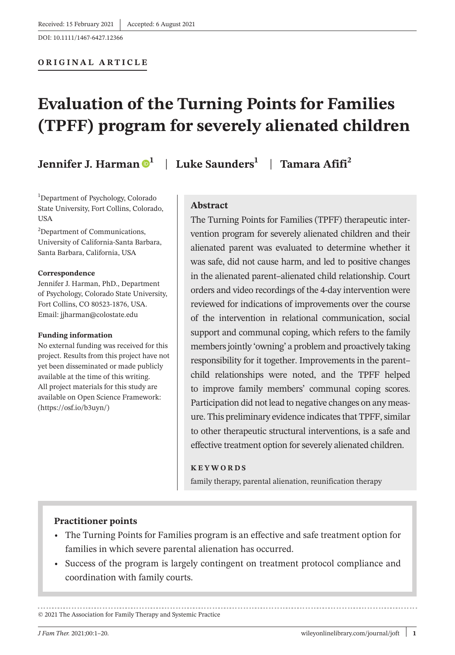#### **ORIGINAL ARTICLE**

# **Evaluation of the Turning Points for Families (TPFF) program for severely alienated children**

**Jennifer J. Harman [1](https://orcid.org/0000-0002-7280-824X)** | **Luke Saunders1** | **Tamara Afifi<sup>2</sup>**

1 Department of Psychology, Colorado State University, Fort Collins, Colorado, USA

<sup>2</sup>Department of Communications, University of California-Santa Barbara, Santa Barbara, California, USA

#### **Correspondence**

Jennifer J. Harman, PhD., Department of Psychology, Colorado State University, Fort Collins, CO 80523-1876, USA. Email: [jjharman@colostate.edu](mailto:jjharman@colostate.edu)

#### **Funding information**

No external funding was received for this project. Results from this project have not yet been disseminated or made publicly available at the time of this writing. All project materials for this study are available on Open Science Framework: [\(https://osf.io/b3uyn/\)](https://osf.io/b3uyn/)

# **Abstract**

The Turning Points for Families (TPFF) therapeutic intervention program for severely alienated children and their alienated parent was evaluated to determine whether it was safe, did not cause harm, and led to positive changes in the alienated parent–alienated child relationship. Court orders and video recordings of the 4-day intervention were reviewed for indications of improvements over the course of the intervention in relational communication, social support and communal coping, which refers to the family members jointly 'owning' a problem and proactively taking responsibility for it together. Improvements in the parent– child relationships were noted, and the TPFF helped to improve family members' communal coping scores. Participation did not lead to negative changes on any measure. This preliminary evidence indicates that TPFF, similar to other therapeutic structural interventions, is a safe and effective treatment option for severely alienated children.

#### **KEYWORDS**

family therapy, parental alienation, reunification therapy

#### **Practitioner points**

- • The Turning Points for Families program is an effective and safe treatment option for families in which severe parental alienation has occurred.
- • Success of the program is largely contingent on treatment protocol compliance and coordination with family courts.

© 2021 The Association for Family Therapy and Systemic Practice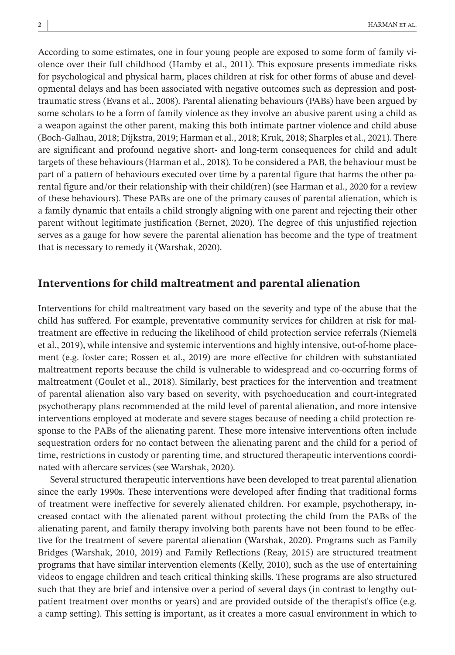According to some estimates, one in four young people are exposed to some form of family violence over their full childhood (Hamby et al., 2011). This exposure presents immediate risks for psychological and physical harm, places children at risk for other forms of abuse and developmental delays and has been associated with negative outcomes such as depression and posttraumatic stress (Evans et al., 2008). Parental alienating behaviours (PABs) have been argued by some scholars to be a form of family violence as they involve an abusive parent using a child as a weapon against the other parent, making this both intimate partner violence and child abuse (Boch-Galhau, 2018; Dijkstra, 2019; Harman et al., 2018; Kruk, 2018; Sharples et al., 2021). There are significant and profound negative short- and long-term consequences for child and adult targets of these behaviours (Harman et al., 2018). To be considered a PAB, the behaviour must be part of a pattern of behaviours executed over time by a parental figure that harms the other parental figure and/or their relationship with their child(ren) (see Harman et al., 2020 for a review of these behaviours). These PABs are one of the primary causes of parental alienation, which is a family dynamic that entails a child strongly aligning with one parent and rejecting their other parent without legitimate justification (Bernet, 2020). The degree of this unjustified rejection serves as a gauge for how severe the parental alienation has become and the type of treatment that is necessary to remedy it (Warshak, 2020).

## **Interventions for child maltreatment and parental alienation**

Interventions for child maltreatment vary based on the severity and type of the abuse that the child has suffered. For example, preventative community services for children at risk for maltreatment are effective in reducing the likelihood of child protection service referrals (Niemelä et al., 2019), while intensive and systemic interventions and highly intensive, out-of-home placement (e.g. foster care; Rossen et al., 2019) are more effective for children with substantiated maltreatment reports because the child is vulnerable to widespread and co-occurring forms of maltreatment (Goulet et al., 2018). Similarly, best practices for the intervention and treatment of parental alienation also vary based on severity, with psychoeducation and court-integrated psychotherapy plans recommended at the mild level of parental alienation, and more intensive interventions employed at moderate and severe stages because of needing a child protection response to the PABs of the alienating parent. These more intensive interventions often include sequestration orders for no contact between the alienating parent and the child for a period of time, restrictions in custody or parenting time, and structured therapeutic interventions coordinated with aftercare services (see Warshak, 2020).

Several structured therapeutic interventions have been developed to treat parental alienation since the early 1990s. These interventions were developed after finding that traditional forms of treatment were ineffective for severely alienated children. For example, psychotherapy, increased contact with the alienated parent without protecting the child from the PABs of the alienating parent, and family therapy involving both parents have not been found to be effective for the treatment of severe parental alienation (Warshak, 2020). Programs such as Family Bridges (Warshak, 2010, 2019) and Family Reflections (Reay, 2015) are structured treatment programs that have similar intervention elements (Kelly, 2010), such as the use of entertaining videos to engage children and teach critical thinking skills. These programs are also structured such that they are brief and intensive over a period of several days (in contrast to lengthy outpatient treatment over months or years) and are provided outside of the therapist's office (e.g. a camp setting). This setting is important, as it creates a more casual environment in which to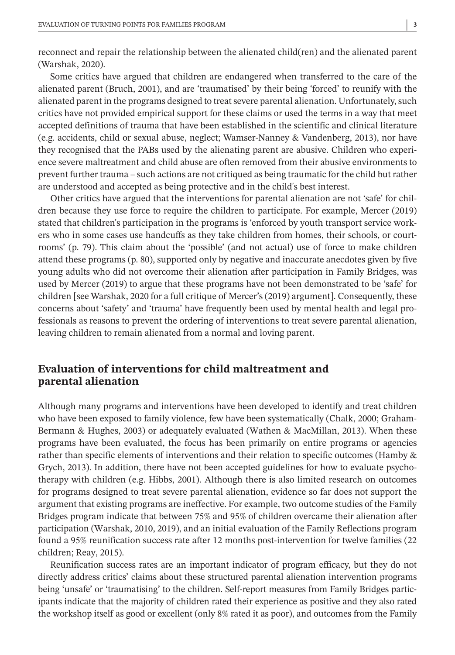reconnect and repair the relationship between the alienated child(ren) and the alienated parent (Warshak, 2020).

Some critics have argued that children are endangered when transferred to the care of the alienated parent (Bruch, 2001), and are 'traumatised' by their being 'forced' to reunify with the alienated parent in the programs designed to treat severe parental alienation. Unfortunately, such critics have not provided empirical support for these claims or used the terms in a way that meet accepted definitions of trauma that have been established in the scientific and clinical literature (e.g. accidents, child or sexual abuse, neglect; Wamser-Nanney & Vandenberg, 2013), nor have they recognised that the PABs used by the alienating parent are abusive. Children who experience severe maltreatment and child abuse are often removed from their abusive environments to prevent further trauma – such actions are not critiqued as being traumatic for the child but rather are understood and accepted as being protective and in the child's best interest.

Other critics have argued that the interventions for parental alienation are not 'safe' for children because they use force to require the children to participate. For example, Mercer (2019) stated that children's participation in the programs is 'enforced by youth transport service workers who in some cases use handcuffs as they take children from homes, their schools, or courtrooms' (p. 79). This claim about the 'possible' (and not actual) use of force to make children attend these programs (p. 80), supported only by negative and inaccurate anecdotes given by five young adults who did not overcome their alienation after participation in Family Bridges, was used by Mercer (2019) to argue that these programs have not been demonstrated to be 'safe' for children [see Warshak, 2020 for a full critique of Mercer's (2019) argument]. Consequently, these concerns about 'safety' and 'trauma' have frequently been used by mental health and legal professionals as reasons to prevent the ordering of interventions to treat severe parental alienation, leaving children to remain alienated from a normal and loving parent.

# **Evaluation of interventions for child maltreatment and parental alienation**

Although many programs and interventions have been developed to identify and treat children who have been exposed to family violence, few have been systematically (Chalk, 2000; Graham-Bermann & Hughes, 2003) or adequately evaluated (Wathen & MacMillan, 2013). When these programs have been evaluated, the focus has been primarily on entire programs or agencies rather than specific elements of interventions and their relation to specific outcomes (Hamby & Grych, 2013). In addition, there have not been accepted guidelines for how to evaluate psychotherapy with children (e.g. Hibbs, 2001). Although there is also limited research on outcomes for programs designed to treat severe parental alienation, evidence so far does not support the argument that existing programs are ineffective. For example, two outcome studies of the Family Bridges program indicate that between 75% and 95% of children overcame their alienation after participation (Warshak, 2010, 2019), and an initial evaluation of the Family Reflections program found a 95% reunification success rate after 12 months post-intervention for twelve families (22 children; Reay, 2015).

Reunification success rates are an important indicator of program efficacy, but they do not directly address critics' claims about these structured parental alienation intervention programs being 'unsafe' or 'traumatising' to the children. Self-report measures from Family Bridges participants indicate that the majority of children rated their experience as positive and they also rated the workshop itself as good or excellent (only 8% rated it as poor), and outcomes from the Family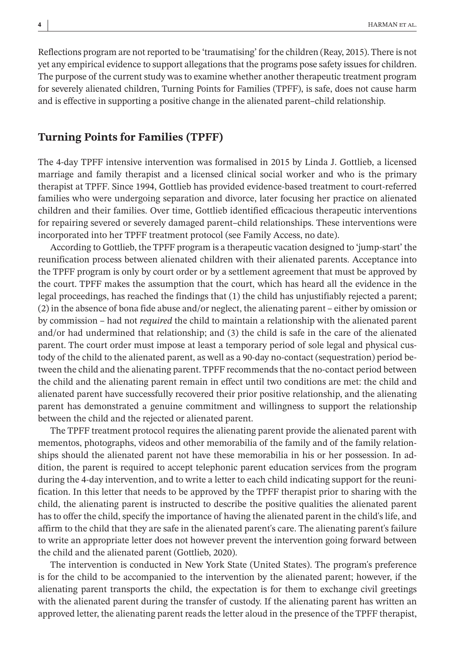Reflections program are not reported to be 'traumatising' for the children (Reay, 2015). There is not yet any empirical evidence to support allegations that the programs pose safety issues for children. The purpose of the current study was to examine whether another therapeutic treatment program for severely alienated children, Turning Points for Families (TPFF), is safe, does not cause harm and is effective in supporting a positive change in the alienated parent–child relationship.

#### **Turning Points for Families (TPFF)**

The 4-day TPFF intensive intervention was formalised in 2015 by Linda J. Gottlieb, a licensed marriage and family therapist and a licensed clinical social worker and who is the primary therapist at TPFF. Since 1994, Gottlieb has provided evidence-based treatment to court-referred families who were undergoing separation and divorce, later focusing her practice on alienated children and their families. Over time, Gottlieb identified efficacious therapeutic interventions for repairing severed or severely damaged parent–child relationships. These interventions were incorporated into her TPFF treatment protocol (see Family Access, no date).

According to Gottlieb, the TPFF program is a therapeutic vacation designed to 'jump-start' the reunification process between alienated children with their alienated parents. Acceptance into the TPFF program is only by court order or by a settlement agreement that must be approved by the court. TPFF makes the assumption that the court, which has heard all the evidence in the legal proceedings, has reached the findings that (1) the child has unjustifiably rejected a parent; (2) in the absence of bona fide abuse and/or neglect, the alienating parent – either by omission or by commission – had not *required* the child to maintain a relationship with the alienated parent and/or had undermined that relationship; and (3) the child is safe in the care of the alienated parent. The court order must impose at least a temporary period of sole legal and physical custody of the child to the alienated parent, as well as a 90-day no-contact (sequestration) period between the child and the alienating parent. TPFF recommends that the no-contact period between the child and the alienating parent remain in effect until two conditions are met: the child and alienated parent have successfully recovered their prior positive relationship, and the alienating parent has demonstrated a genuine commitment and willingness to support the relationship between the child and the rejected or alienated parent.

The TPFF treatment protocol requires the alienating parent provide the alienated parent with mementos, photographs, videos and other memorabilia of the family and of the family relationships should the alienated parent not have these memorabilia in his or her possession. In addition, the parent is required to accept telephonic parent education services from the program during the 4-day intervention, and to write a letter to each child indicating support for the reunification. In this letter that needs to be approved by the TPFF therapist prior to sharing with the child, the alienating parent is instructed to describe the positive qualities the alienated parent has to offer the child, specify the importance of having the alienated parent in the child's life, and affirm to the child that they are safe in the alienated parent's care. The alienating parent's failure to write an appropriate letter does not however prevent the intervention going forward between the child and the alienated parent (Gottlieb, 2020).

The intervention is conducted in New York State (United States). The program's preference is for the child to be accompanied to the intervention by the alienated parent; however, if the alienating parent transports the child, the expectation is for them to exchange civil greetings with the alienated parent during the transfer of custody. If the alienating parent has written an approved letter, the alienating parent reads the letter aloud in the presence of the TPFF therapist,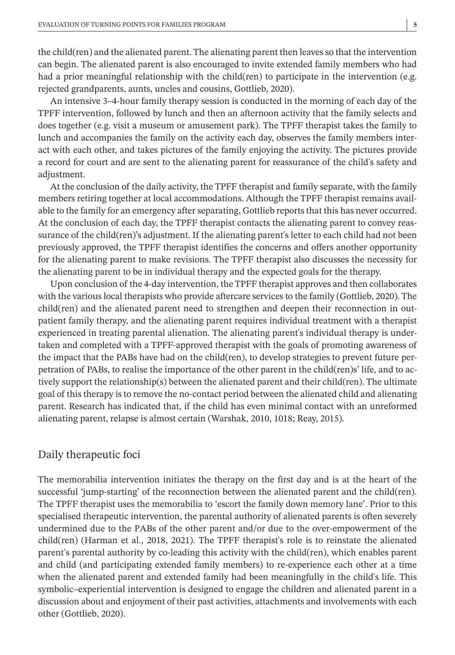the child(ren) and the alienated parent. The alienating parent then leavesso that the intervention can begin. The alienated parent is also encouraged to invite extended family members who had had a prior meaningful relationship with the child(ren) to participate in the intervention (e.g. rejected grandparents, aunts, uncles and cousins, Gottlieb, 2020).

An intensive 3–4-hour family therapy session is conducted in the morning of each day of the TPFF intervention, followed by lunch and then an afternoon activity that the family selects and does together (e.g. visit a museum or amusement park). The TPFF therapist takes the family to lunch and accompanies the family on the activity each day, observes the family members interact with each other, and takes pictures of the family enjoying the activity. The pictures provide a record for court and are sent to the alienating parent for reassurance of the child's safety and adjustment.

At the conclusion of the daily activity, the TPFF therapist and family separate, with the family members retiring together at local accommodations. Although the TPFF therapist remains available to the family for an emergency after separating, Gottlieb reports that this has never occurred. At the conclusion of each day, the TPFF therapist contacts the alienating parent to convey reassurance of the child(ren)'s adjustment. If the alienating parent's letter to each child had not been previously approved, the TPFF therapist identifies the concerns and offers another opportunity for the alienating parent to make revisions. The TPFF therapist also discusses the necessity for the alienating parent to be in individual therapy and the expected goals for the therapy.

Upon conclusion of the 4-day intervention, the TPFF therapist approves and then collaborates with the various local therapists who provide aftercare services to the family (Gottlieb, 2020). The child(ren) and the alienated parent need to strengthen and deepen their reconnection in outpatient family therapy, and the alienating parent requires individual treatment with a therapist experienced in treating parental alienation. The alienating parent's individual therapy is undertaken and completed with a TPFF-approved therapist with the goals of promoting awareness of the impact that the PABs have had on the child(ren), to develop strategies to prevent future perpetration of PABs, to realise the importance of the other parent in the child(ren)s' life, and to actively support the relationship(s) between the alienated parent and their child(ren). The ultimate goal of thistherapy isto remove the no-contact period between the alienated child and alienating parent. Research has indicated that, if the child has even minimal contact with an unreformed alienating parent, relapse is almost certain (Warshak, 2010, 1018; Reay, 2015).

#### Daily therapeutic foci

The memorabilia intervention initiates the therapy on the first day and is at the heart of the successful 'jump-starting' of the reconnection between the alienated parent and the child(ren). The TPFF therapist uses the memorabilia to 'escort the family down memory lane'. Prior to this specialised therapeutic intervention, the parental authority of alienated parents is often severely undermined due to the PABs of the other parent and/or due to the over-empowerment of the child(ren) (Harman et al., 2018, 2021). The TPFF therapist's role is to reinstate the alienated parent's parental authority by co-leading this activity with the child(ren), which enables parent and child (and participating extended family members) to re-experience each other at a time when the alienated parent and extended family had been meaningfully in the child's life. This symbolic–experiential intervention is designed to engage the children and alienated parent in a discussion about and enjoyment of their past activities, attachments and involvements with each other (Gottlieb, 2020).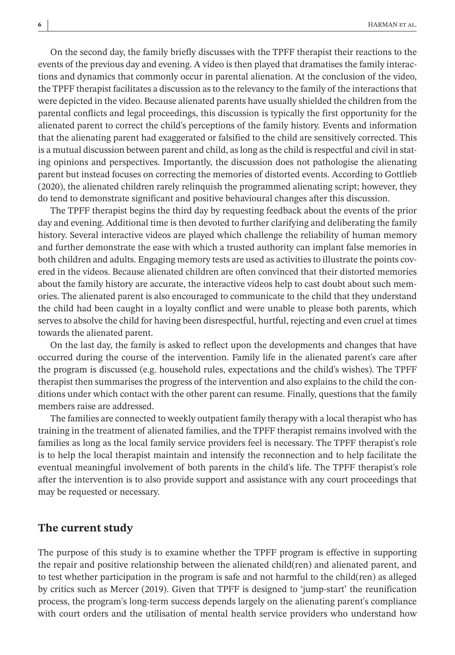On the second day, the family briefly discusses with the TPFF therapist their reactions to the events of the previous day and evening. A video is then played that dramatises the family interactions and dynamics that commonly occur in parental alienation. At the conclusion of the video, the TPFF therapist facilitates a discussion asto the relevancy to the family of the interactionsthat were depicted in the video. Because alienated parents have usually shielded the children from the parental conflicts and legal proceedings, this discussion is typically the first opportunity for the alienated parent to correct the child's perceptions of the family history. Events and information that the alienating parent had exaggerated or falsified to the child are sensitively corrected. This is a mutual discussion between parent and child, aslong asthe child isrespectful and civil in stating opinions and perspectives. Importantly, the discussion does not pathologise the alienating parent but instead focuses on correcting the memories of distorted events. According to Gottlieb (2020), the alienated children rarely relinquish the programmed alienating script; however, they do tend to demonstrate significant and positive behavioural changes after this discussion.

The TPFF therapist begins the third day by requesting feedback about the events of the prior day and evening. Additional time is then devoted to further clarifying and deliberating the family history. Several interactive videos are played which challenge the reliability of human memory and further demonstrate the ease with which a trusted authority can implant false memories in both children and adults. Engaging memory tests are used as activities to illustrate the points covered in the videos. Because alienated children are often convinced that their distorted memories about the family history are accurate, the interactive videos help to cast doubt about such memories. The alienated parent is also encouraged to communicate to the child that they understand the child had been caught in a loyalty conflict and were unable to please both parents, which serves to absolve the child for having been disrespectful, hurtful, rejecting and even cruel at times towards the alienated parent.

On the last day, the family is asked to reflect upon the developments and changes that have occurred during the course of the intervention. Family life in the alienated parent's care after the program is discussed (e.g. household rules, expectations and the child's wishes). The TPFF therapist then summarises the progress of the intervention and also explains to the child the conditions under which contact with the other parent can resume. Finally, questions that the family members raise are addressed.

The families are connected to weekly outpatient family therapy with a local therapist who has training in the treatment of alienated families, and the TPFF therapist remains involved with the families as long as the local family service providers feel is necessary. The TPFF therapist's role is to help the local therapist maintain and intensify the reconnection and to help facilitate the eventual meaningful involvement of both parents in the child's life. The TPFF therapist's role after the intervention is to also provide support and assistance with any court proceedings that may be requested or necessary.

#### **The current study**

The purpose of this study is to examine whether the TPFF program is effective in supporting the repair and positive relationship between the alienated child(ren) and alienated parent, and to test whether participation in the program is safe and not harmful to the child(ren) as alleged by critics such as Mercer (2019). Given that TPFF is designed to 'jump-start' the reunification process, the program's long-term success depends largely on the alienating parent's compliance with court orders and the utilisation of mental health service providers who understand how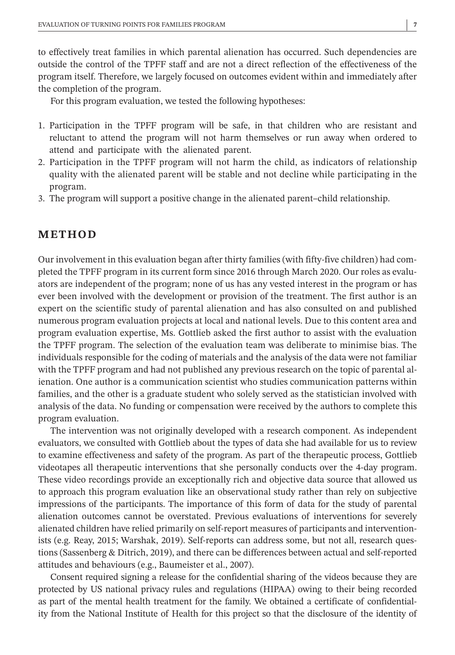to effectively treat families in which parental alienation has occurred. Such dependencies are outside the control of the TPFF staff and are not a direct reflection of the effectiveness of the program itself. Therefore, we largely focused on outcomes evident within and immediately after the completion of the program.

For this program evaluation, we tested the following hypotheses:

- 1. Participation in the TPFF program will be safe, in that children who are resistant and reluctant to attend the program will not harm themselves or run away when ordered to attend and participate with the alienated parent.
- 2. Participation in the TPFF program will not harm the child, as indicators of relationship quality with the alienated parent will be stable and not decline while participating in the program.
- 3. The program will support a positive change in the alienated parent–child relationship.

#### **METHOD**

Our involvement in this evaluation began after thirty families (with fifty-five children) had completed the TPFF program in its current form since 2016 through March 2020. Our roles as evaluators are independent of the program; none of us has any vested interest in the program or has ever been involved with the development or provision of the treatment. The first author is an expert on the scientific study of parental alienation and has also consulted on and published numerous program evaluation projects at local and national levels. Due to this content area and program evaluation expertise, Ms. Gottlieb asked the first author to assist with the evaluation the TPFF program. The selection of the evaluation team was deliberate to minimise bias. The individuals responsible for the coding of materials and the analysis of the data were not familiar with the TPFF program and had not published any previous research on the topic of parental alienation. One author is a communication scientist who studies communication patterns within families, and the other is a graduate student who solely served as the statistician involved with analysis of the data. No funding or compensation were received by the authors to complete this program evaluation.

The intervention was not originally developed with a research component. As independent evaluators, we consulted with Gottlieb about the types of data she had available for us to review to examine effectiveness and safety of the program. As part of the therapeutic process, Gottlieb videotapes all therapeutic interventions that she personally conducts over the 4-day program. These video recordings provide an exceptionally rich and objective data source that allowed us to approach this program evaluation like an observational study rather than rely on subjective impressions of the participants. The importance of this form of data for the study of parental alienation outcomes cannot be overstated. Previous evaluations of interventions for severely alienated children have relied primarily on self-report measures of participants and interventionists (e.g. Reay, 2015; Warshak, 2019). Self-reports can address some, but not all, research questions (Sassenberg & Ditrich, 2019), and there can be differences between actual and self-reported attitudes and behaviours (e.g., Baumeister et al., 2007).

Consent required signing a release for the confidential sharing of the videos because they are protected by US national privacy rules and regulations (HIPAA) owing to their being recorded as part of the mental health treatment for the family. We obtained a certificate of confidentiality from the National Institute of Health for this project so that the disclosure of the identity of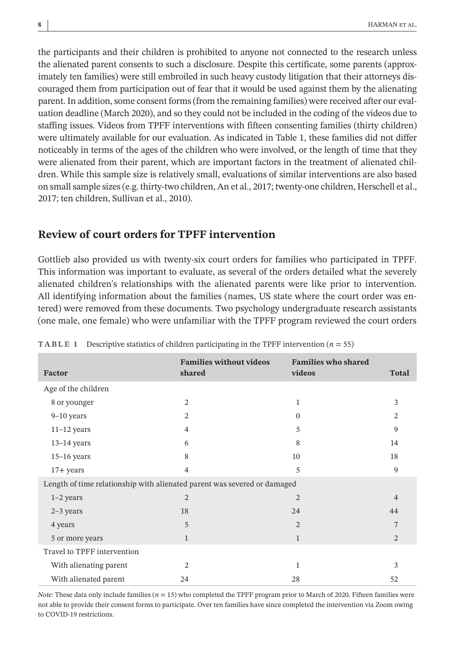the participants and their children is prohibited to anyone not connected to the research unless the alienated parent consents to such a disclosure. Despite this certificate, some parents (approximately ten families) were still embroiled in such heavy custody litigation that their attorneys discouraged them from participation out of fear that it would be used against them by the alienating parent. In addition,some consent forms(from the remaining families) were received after our evaluation deadline (March 2020), and so they could not be included in the coding of the videos due to staffing issues. Videos from TPFF interventions with fifteen consenting families (thirty children) were ultimately available for our evaluation. As indicated in Table 1, these families did not differ noticeably in terms of the ages of the children who were involved, or the length of time that they were alienated from their parent, which are important factors in the treatment of alienated children. While this sample size is relatively small, evaluations of similar interventions are also based on smallsample sizes(e.g. thirty-two children, An et al., 2017; twenty-one children, Herschell et al., 2017; ten children, Sullivan et al., 2010).

## **Review of court orders for TPFF intervention**

Gottlieb also provided us with twenty-six court orders for families who participated in TPFF. This information was important to evaluate, as several of the orders detailed what the severely alienated children's relationships with the alienated parents were like prior to intervention. All identifying information about the families (names, US state where the court order was entered) were removed from these documents. Two psychology undergraduate research assistants (one male, one female) who were unfamiliar with the TPFF program reviewed the court orders

| Factor                                                                   | <b>Families without videos</b><br>shared | <b>Families who shared</b><br>videos | <b>Total</b>   |  |  |  |  |
|--------------------------------------------------------------------------|------------------------------------------|--------------------------------------|----------------|--|--|--|--|
| Age of the children                                                      |                                          |                                      |                |  |  |  |  |
| 8 or younger                                                             | $\overline{2}$                           | 1                                    | 3              |  |  |  |  |
| $9-10$ years                                                             | 2                                        | $\Omega$                             | $\overline{c}$ |  |  |  |  |
| $11-12$ years                                                            | $\overline{4}$                           | 5                                    | 9              |  |  |  |  |
| $13-14$ years                                                            | 6                                        | 8                                    | 14             |  |  |  |  |
| $15-16$ years                                                            | 8                                        | 10                                   | 18             |  |  |  |  |
| $17 + years$                                                             | $\overline{4}$                           | 5                                    | 9              |  |  |  |  |
| Length of time relationship with alienated parent was severed or damaged |                                          |                                      |                |  |  |  |  |
| $1-2$ years                                                              | $\overline{2}$                           | $\overline{2}$                       | $\overline{4}$ |  |  |  |  |
| $2-3$ years                                                              | 18                                       | 24                                   | 44             |  |  |  |  |
| 4 years                                                                  | 5                                        | $\overline{2}$                       | 7              |  |  |  |  |
| 5 or more years                                                          | $\mathbf{1}$                             | 1                                    | 2              |  |  |  |  |
| Travel to TPFF intervention                                              |                                          |                                      |                |  |  |  |  |
| With alienating parent                                                   | $\overline{c}$                           | 1                                    | 3              |  |  |  |  |
| With alienated parent                                                    | 24                                       | 28                                   | 52             |  |  |  |  |

**TABLE 1** Descriptive statistics of children participating in the TPFF intervention  $(n = 55)$ 

*Note:* These data only include families  $(n = 15)$  who completed the TPFF program prior to March of 2020. Fifteen families were not able to provide their consent forms to participate. Over ten families have since completed the intervention via Zoom owing to COVID-19 restrictions.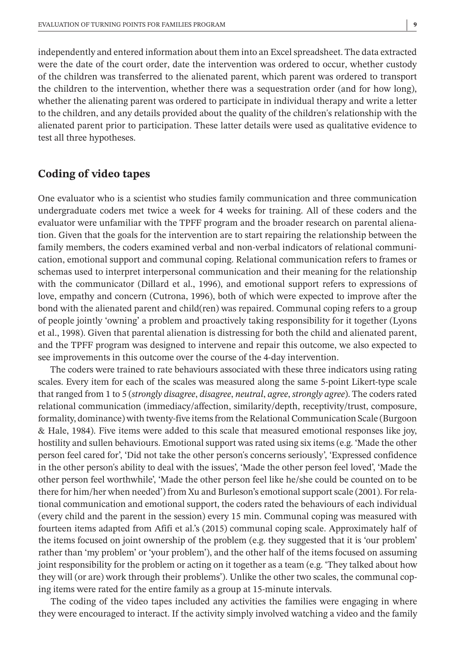independently and entered information about them into an Excelspreadsheet. The data extracted were the date of the court order, date the intervention was ordered to occur, whether custody of the children was transferred to the alienated parent, which parent was ordered to transport the children to the intervention, whether there was a sequestration order (and for how long), whether the alienating parent was ordered to participate in individual therapy and write a letter to the children, and any details provided about the quality of the children's relationship with the alienated parent prior to participation. These latter details were used as qualitative evidence to test all three hypotheses.

## **Coding of video tapes**

One evaluator who is a scientist who studies family communication and three communication undergraduate coders met twice a week for 4 weeks for training. All of these coders and the evaluator were unfamiliar with the TPFF program and the broader research on parental alienation. Given that the goals for the intervention are to start repairing the relationship between the family members, the coders examined verbal and non-verbal indicators of relational communication, emotional support and communal coping. Relational communication refers to frames or schemas used to interpret interpersonal communication and their meaning for the relationship with the communicator (Dillard et al., 1996), and emotional support refers to expressions of love, empathy and concern (Cutrona, 1996), both of which were expected to improve after the bond with the alienated parent and child(ren) was repaired. Communal coping refers to a group of people jointly 'owning' a problem and proactively taking responsibility for it together (Lyons et al., 1998). Given that parental alienation is distressing for both the child and alienated parent, and the TPFF program was designed to intervene and repair this outcome, we also expected to see improvements in this outcome over the course of the 4-day intervention.

The coders were trained to rate behaviours associated with these three indicators using rating scales. Every item for each of the scales was measured along the same 5-point Likert-type scale that ranged from 1 to 5 (*strongly disagree*, *disagree*, *neutral*, *agree*, *strongly agree*). The coders rated relational communication (immediacy/affection, similarity/depth, receptivity/trust, composure, formality, dominance) with twenty-five items from the Relational Communication Scale (Burgoon & Hale, 1984). Five items were added to this scale that measured emotional responses like joy, hostility and sullen behaviours. Emotional support was rated using six items (e.g. 'Made the other person feel cared for', 'Did not take the other person's concerns seriously', 'Expressed confidence in the other person's ability to deal with the issues', 'Made the other person feel loved', 'Made the other person feel worthwhile', 'Made the other person feel like he/she could be counted on to be there for him/her when needed') from Xu and Burleson's emotional support scale (2001). For relational communication and emotional support, the coders rated the behaviours of each individual (every child and the parent in the session) every 15 min. Communal coping was measured with fourteen items adapted from Afifi et al.'s (2015) communal coping scale. Approximately half of the items focused on joint ownership of the problem (e.g. they suggested that it is 'our problem' rather than 'my problem' or 'your problem'), and the other half of the items focused on assuming joint responsibility for the problem or acting on it together as a team (e.g. 'They talked about how they will (or are) work through their problems'). Unlike the other two scales, the communal coping items were rated for the entire family as a group at 15-minute intervals.

The coding of the video tapes included any activities the families were engaging in where they were encouraged to interact. If the activity simply involved watching a video and the family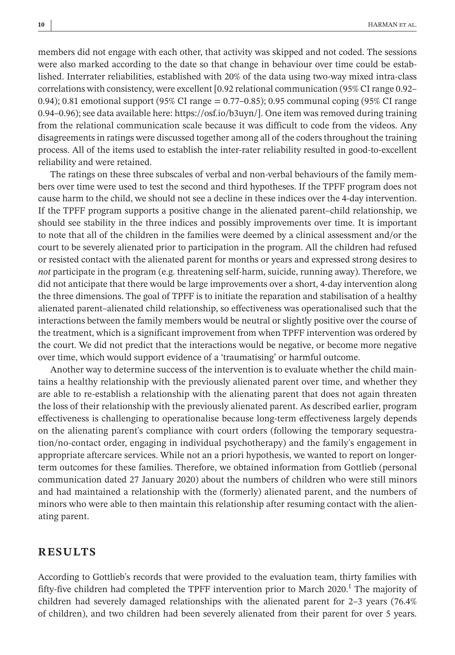members did not engage with each other, that activity was skipped and not coded. The sessions were also marked according to the date so that change in behaviour over time could be established. Interrater reliabilities, established with 20% of the data using two-way mixed intra-class correlations with consistency, were excellent  $[0.92$  relational communication  $(95\%$  CI range  $0.92-$ 0.94); 0.81 emotional support (95% CI range = 0.77–0.85); 0.95 communal coping (95% CI range 0.94–0.96); see data available here: https://osf.io/b3uyn/]. One item was removed during training from the relational communication scale because it was difficult to code from the videos. Any disagreements in ratings were discussed together among all of the coders throughout the training process. All of the items used to establish the inter-rater reliability resulted in good-to-excellent reliability and were retained.

The ratings on these three subscales of verbal and non-verbal behaviours of the family members over time were used to test the second and third hypotheses. If the TPFF program does not cause harm to the child, we should not see a decline in these indices over the 4-day intervention. If the TPFF program supports a positive change in the alienated parent–child relationship, we should see stability in the three indices and possibly improvements over time. It is important to note that all of the children in the families were deemed by a clinical assessment and/or the court to be severely alienated prior to participation in the program. All the children had refused or resisted contact with the alienated parent for months or years and expressed strong desires to *not* participate in the program (e.g. threatening self-harm, suicide, running away). Therefore, we did not anticipate that there would be large improvements over a short, 4-day intervention along the three dimensions. The goal of TPFF is to initiate the reparation and stabilisation of a healthy alienated parent–alienated child relationship, so effectiveness was operationalised such that the interactions between the family members would be neutral or slightly positive over the course of the treatment, which is a significant improvement from when TPFF intervention was ordered by the court. We did not predict that the interactions would be negative, or become more negative over time, which would support evidence of a 'traumatising' or harmful outcome.

Another way to determine success of the intervention is to evaluate whether the child maintains a healthy relationship with the previously alienated parent over time, and whether they are able to re-establish a relationship with the alienating parent that does not again threaten the loss of their relationship with the previously alienated parent. As described earlier, program effectiveness is challenging to operationalise because long-term effectiveness largely depends on the alienating parent's compliance with court orders (following the temporary sequestration/no-contact order, engaging in individual psychotherapy) and the family's engagement in appropriate aftercare services. While not an a priori hypothesis, we wanted to report on longerterm outcomes for these families. Therefore, we obtained information from Gottlieb (personal communication dated 27 January 2020) about the numbers of children who were still minors and had maintained a relationship with the (formerly) alienated parent, and the numbers of minors who were able to then maintain this relationship after resuming contact with the alienating parent.

#### **RESULTS**

According to Gottlieb's records that were provided to the evaluation team, thirty families with fifty-five children had completed the TPFF intervention prior to March 2020.<sup>1</sup> The majority of children had severely damaged relationships with the alienated parent for 2-3 years (76.4%) of children), and two children had been severely alienated from their parent for over 5 years.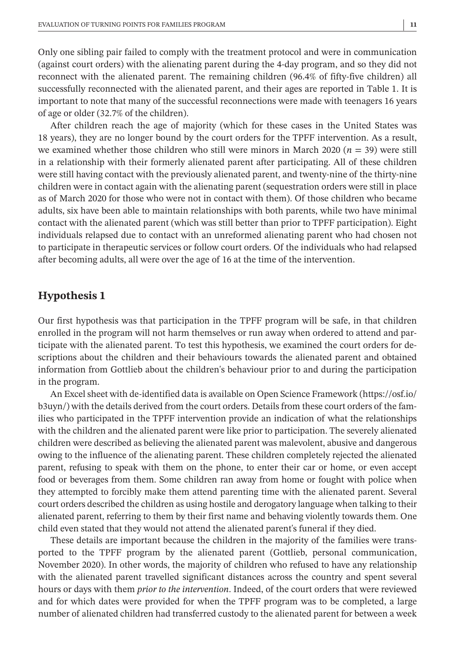Only one sibling pair failed to comply with the treatment protocol and were in communication (against court orders) with the alienating parent during the 4-day program, and so they did not reconnect with the alienated parent. The remaining children (96.4% of fifty-five children) all successfully reconnected with the alienated parent, and their ages are reported in Table 1. It is important to note that many of the successful reconnections were made with teenagers 16 years of age or older (32.7% of the children).

After children reach the age of majority (which for these cases in the United States was 18 years), they are no longer bound by the court orders for the TPFF intervention. As a result, we examined whether those children who still were minors in March 2020 (*n* = 39) were still in a relationship with their formerly alienated parent after participating. All of these children were still having contact with the previously alienated parent, and twenty-nine of the thirty-nine children were in contact again with the alienating parent (sequestration orders were still in place as of March 2020 for those who were not in contact with them). Of those children who became adults, six have been able to maintain relationships with both parents, while two have minimal contact with the alienated parent (which was still better than prior to TPFF participation). Eight individuals relapsed due to contact with an unreformed alienating parent who had chosen not to participate in therapeutic services or follow court orders. Of the individuals who had relapsed after becoming adults, all were over the age of 16 at the time of the intervention.

# **Hypothesis 1**

Our first hypothesis was that participation in the TPFF program will be safe, in that children enrolled in the program will not harm themselves or run away when ordered to attend and participate with the alienated parent. To test this hypothesis, we examined the court orders for descriptions about the children and their behaviours towards the alienated parent and obtained information from Gottlieb about the children's behaviour prior to and during the participation in the program.

An Excel sheet with de-identified data is available on Open Science Framework ([https://osf.io/](https://osf.io/b3uyn/) [b3uyn/\)](https://osf.io/b3uyn/) with the details derived from the court orders. Details from these court orders of the families who participated in the TPFF intervention provide an indication of what the relationships with the children and the alienated parent were like prior to participation. The severely alienated children were described as believing the alienated parent was malevolent, abusive and dangerous owing to the influence of the alienating parent. These children completely rejected the alienated parent, refusing to speak with them on the phone, to enter their car or home, or even accept food or beverages from them. Some children ran away from home or fought with police when they attempted to forcibly make them attend parenting time with the alienated parent. Several court orders described the children as using hostile and derogatory language when talking to their alienated parent, referring to them by their first name and behaving violently towards them. One child even stated that they would not attend the alienated parent's funeral if they died.

These details are important because the children in the majority of the families were transported to the TPFF program by the alienated parent (Gottlieb, personal communication, November 2020). In other words, the majority of children who refused to have any relationship with the alienated parent travelled significant distances across the country and spent several hours or days with them *prior to the intervention*. Indeed, of the court orders that were reviewed and for which dates were provided for when the TPFF program was to be completed, a large number of alienated children had transferred custody to the alienated parent for between a week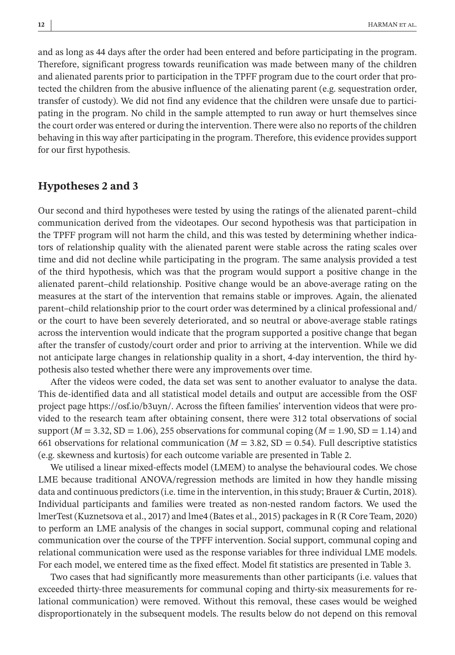and as long as 44 days after the order had been entered and before participating in the program. Therefore, significant progress towards reunification was made between many of the children and alienated parents prior to participation in the TPFF program due to the court order that protected the children from the abusive influence of the alienating parent (e.g. sequestration order, transfer of custody). We did not find any evidence that the children were unsafe due to participating in the program. No child in the sample attempted to run away or hurt themselves since the court order was entered or during the intervention. There were also no reports of the children behaving in this way after participating in the program. Therefore, this evidence provides support for our first hypothesis.

## **Hypotheses 2 and 3**

Our second and third hypotheses were tested by using the ratings of the alienated parent–child communication derived from the videotapes. Our second hypothesis was that participation in the TPFF program will not harm the child, and this was tested by determining whether indicators of relationship quality with the alienated parent were stable across the rating scales over time and did not decline while participating in the program. The same analysis provided a test of the third hypothesis, which was that the program would support a positive change in the alienated parent–child relationship. Positive change would be an above-average rating on the measures at the start of the intervention that remains stable or improves. Again, the alienated parent–child relationship prior to the court order was determined by a clinical professional and/ or the court to have been severely deteriorated, and so neutral or above-average stable ratings across the intervention would indicate that the program supported a positive change that began after the transfer of custody/court order and prior to arriving at the intervention. While we did not anticipate large changes in relationship quality in a short, 4-day intervention, the third hypothesis also tested whether there were any improvements over time.

After the videos were coded, the data set was sent to another evaluator to analyse the data. This de-identified data and all statistical model details and output are accessible from the OSF project page https://osf.io/b3uyn/. Across the fifteen families' intervention videos that were provided to the research team after obtaining consent, there were 312 total observations of social support  $(M = 3.32, SD = 1.06)$ , 255 observations for communal coping  $(M = 1.90, SD = 1.14)$  and 661 observations for relational communication ( $M = 3.82$ , SD = 0.54). Full descriptive statistics (e.g. skewness and kurtosis) for each outcome variable are presented in Table 2.

We utilised a linear mixed-effects model (LMEM) to analyse the behavioural codes. We chose LME because traditional ANOVA/regression methods are limited in how they handle missing data and continuous predictors(i.e. time in the intervention, in thisstudy; Brauer & Curtin, 2018). Individual participants and families were treated as non-nested random factors. We used the lmerTest (Kuznetsova et al., 2017) and lme4 (Bates et al., 2015) packagesin R (R Core Team, 2020) to perform an LME analysis of the changes in social support, communal coping and relational communication over the course of the TPFF intervention. Social support, communal coping and relational communication were used as the response variables for three individual LME models. For each model, we entered time as the fixed effect. Model fit statistics are presented in Table 3.

Two cases that had significantly more measurements than other participants (i.e. values that exceeded thirty-three measurements for communal coping and thirty-six measurements for relational communication) were removed. Without this removal, these cases would be weighed disproportionately in the subsequent models. The results below do not depend on this removal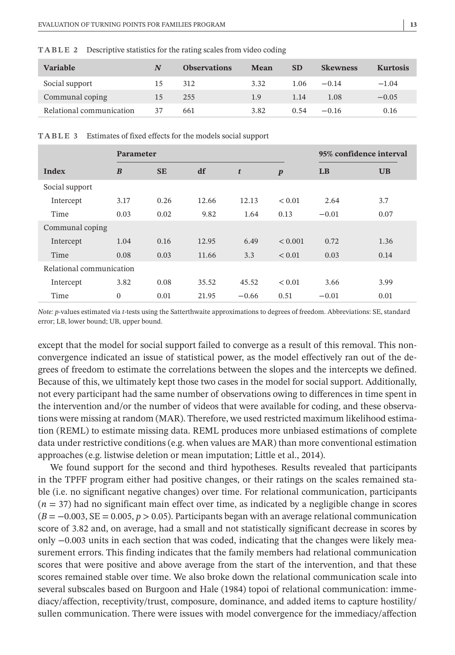| <b>Variable</b>          | N  | <b>Observations</b> | Mean | <b>SD</b> | <b>Skewness</b> | <b>Kurtosis</b> |
|--------------------------|----|---------------------|------|-----------|-----------------|-----------------|
| Social support           | 15 | 312                 | 3.32 | 1.06      | $-0.14$         | $-1.04$         |
| Communal coping          | 15 | 255                 | 1.9  | 1.14      | 1.08            | $-0.05$         |
| Relational communication | 37 | 661                 | 3.82 | 0.54      | $-0.16$         | 0.16            |

**TABLE 2** Descriptive statistics for the rating scales from video coding

**TABLE 3** Estimates of fixed effects for the models social support

|                          | <b>Parameter</b> |           |       |         |                  | 95% confidence interval |           |  |
|--------------------------|------------------|-----------|-------|---------|------------------|-------------------------|-----------|--|
| Index                    | $\boldsymbol{B}$ | <b>SE</b> | df    | t       | $\boldsymbol{p}$ | LB                      | <b>UB</b> |  |
| Social support           |                  |           |       |         |                  |                         |           |  |
| Intercept                | 3.17             | 0.26      | 12.66 | 12.13   | < 0.01           | 2.64                    | 3.7       |  |
| Time                     | 0.03             | 0.02      | 9.82  | 1.64    | 0.13             | $-0.01$                 | 0.07      |  |
| Communal coping          |                  |           |       |         |                  |                         |           |  |
| Intercept                | 1.04             | 0.16      | 12.95 | 6.49    | < 0.001          | 0.72                    | 1.36      |  |
| Time                     | 0.08             | 0.03      | 11.66 | 3.3     | < 0.01           | 0.03                    | 0.14      |  |
| Relational communication |                  |           |       |         |                  |                         |           |  |
| Intercept                | 3.82             | 0.08      | 35.52 | 45.52   | < 0.01           | 3.66                    | 3.99      |  |
| Time                     | $\Omega$         | 0.01      | 21.95 | $-0.66$ | 0.51             | $-0.01$                 | 0.01      |  |

*Note: p*-values estimated via *t*-tests using the Satterthwaite approximations to degrees of freedom. Abbreviations: SE, standard error; LB, lower bound; UB, upper bound.

except that the model for social support failed to converge as a result of this removal. This nonconvergence indicated an issue of statistical power, as the model effectively ran out of the degrees of freedom to estimate the correlations between the slopes and the intercepts we defined. Because of this, we ultimately kept those two cases in the model for social support. Additionally, not every participant had the same number of observations owing to differences in time spent in the intervention and/or the number of videos that were available for coding, and these observations were missing at random (MAR). Therefore, we used restricted maximum likelihood estimation (REML) to estimate missing data. REML produces more unbiased estimations of complete data under restrictive conditions (e.g. when values are MAR) than more conventional estimation approaches (e.g. listwise deletion or mean imputation; Little et al., 2014).

We found support for the second and third hypotheses. Results revealed that participants in the TPFF program either had positive changes, or their ratings on the scales remained stable (i.e. no significant negative changes) over time. For relational communication, participants  $(n = 37)$  had no significant main effect over time, as indicated by a negligible change in scores  $(B = -0.003, SE = 0.005, p > 0.05)$ . Participants began with an average relational communication score of 3.82 and, on average, had a small and not statistically significant decrease in scores by only −0.003 units in each section that was coded, indicating that the changes were likely measurement errors. This finding indicates that the family members had relational communication scores that were positive and above average from the start of the intervention, and that these scores remained stable over time. We also broke down the relational communication scale into several subscales based on Burgoon and Hale (1984) topoi of relational communication: immediacy/affection, receptivity/trust, composure, dominance, and added items to capture hostility/ sullen communication. There were issues with model convergence for the immediacy/affection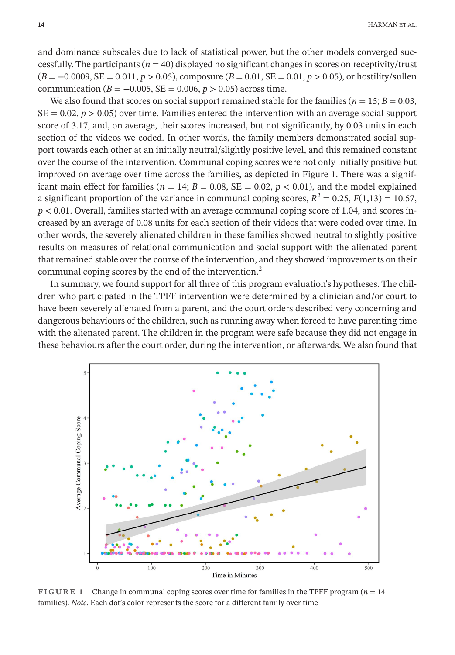and dominance subscales due to lack of statistical power, but the other models converged successfully. The participants  $(n = 40)$  displayed no significant changes in scores on receptivity/trust (*B* = −0.0009, SE = 0.011, *p* > 0.05), composure (*B* = 0.01, SE = 0.01, *p* > 0.05), or hostility/sullen communication  $(B = -0.005, SE = 0.006, p > 0.05)$  across time.

We also found that scores on social support remained stable for the families ( $n = 15$ ;  $B = 0.03$ ,  $SE = 0.02$ ,  $p > 0.05$ ) over time. Families entered the intervention with an average social support score of 3.17, and, on average, their scores increased, but not significantly, by 0.03 units in each section of the videos we coded. In other words, the family members demonstrated social support towards each other at an initially neutral/slightly positive level, and this remained constant over the course of the intervention. Communal coping scores were not only initially positive but improved on average over time across the families, as depicted in Figure 1. There was a significant main effect for families ( $n = 14$ ;  $B = 0.08$ ,  $SE = 0.02$ ,  $p < 0.01$ ), and the model explained a significant proportion of the variance in communal coping scores,  $R^2 = 0.25$ ,  $F(1,13) = 10.57$ , *p* < 0.01. Overall, families started with an average communal coping score of 1.04, and scores increased by an average of 0.08 units for each section of their videos that were coded over time. In other words, the severely alienated children in these families showed neutral to slightly positive results on measures of relational communication and social support with the alienated parent that remained stable over the course of the intervention, and they showed improvements on their communal coping scores by the end of the intervention.<sup>2</sup>

In summary, we found support for all three of this program evaluation's hypotheses. The children who participated in the TPFF intervention were determined by a clinician and/or court to have been severely alienated from a parent, and the court orders described very concerning and dangerous behaviours of the children, such as running away when forced to have parenting time with the alienated parent. The children in the program were safe because they did not engage in these behaviours after the court order, during the intervention, or afterwards. We also found that



**FIGURE 1** Change in communal coping scores over time for families in the TPFF program (*n* = 14 families). *Note*. Each dot's color represents the score for a different family over time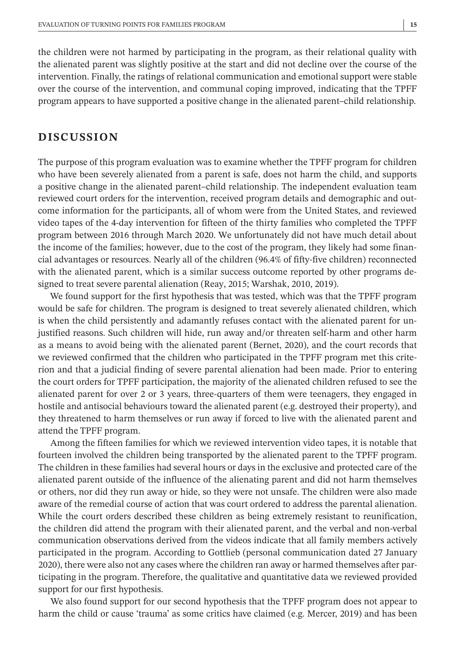the children were not harmed by participating in the program, as their relational quality with the alienated parent was slightly positive at the start and did not decline over the course of the intervention. Finally, the ratings of relational communication and emotional support were stable over the course of the intervention, and communal coping improved, indicating that the TPFF program appears to have supported a positive change in the alienated parent–child relationship.

# **DISCUSSION**

The purpose of this program evaluation was to examine whether the TPFF program for children who have been severely alienated from a parent is safe, does not harm the child, and supports a positive change in the alienated parent–child relationship. The independent evaluation team reviewed court orders for the intervention, received program details and demographic and outcome information for the participants, all of whom were from the United States, and reviewed video tapes of the 4-day intervention for fifteen of the thirty families who completed the TPFF program between 2016 through March 2020. We unfortunately did not have much detail about the income of the families; however, due to the cost of the program, they likely had some financial advantages or resources. Nearly all of the children (96.4% of fifty-five children) reconnected with the alienated parent, which is a similar success outcome reported by other programs designed to treat severe parental alienation (Reay, 2015; Warshak, 2010, 2019).

We found support for the first hypothesis that was tested, which was that the TPFF program would be safe for children. The program is designed to treat severely alienated children, which is when the child persistently and adamantly refuses contact with the alienated parent for unjustified reasons. Such children will hide, run away and/or threaten self-harm and other harm as a means to avoid being with the alienated parent (Bernet, 2020), and the court records that we reviewed confirmed that the children who participated in the TPFF program met this criterion and that a judicial finding of severe parental alienation had been made. Prior to entering the court orders for TPFF participation, the majority of the alienated children refused to see the alienated parent for over 2 or 3 years, three-quarters of them were teenagers, they engaged in hostile and antisocial behaviours toward the alienated parent (e.g. destroyed their property), and they threatened to harm themselves or run away if forced to live with the alienated parent and attend the TPFF program.

Among the fifteen families for which we reviewed intervention video tapes, it is notable that fourteen involved the children being transported by the alienated parent to the TPFF program. The children in these families had several hours or days in the exclusive and protected care of the alienated parent outside of the influence of the alienating parent and did not harm themselves or others, nor did they run away or hide, so they were not unsafe. The children were also made aware of the remedial course of action that was court ordered to address the parental alienation. While the court orders described these children as being extremely resistant to reunification, the children did attend the program with their alienated parent, and the verbal and non-verbal communication observations derived from the videos indicate that all family members actively participated in the program. According to Gottlieb (personal communication dated 27 January 2020), there were also not any cases where the children ran away or harmed themselves after participating in the program. Therefore, the qualitative and quantitative data we reviewed provided support for our first hypothesis.

We also found support for our second hypothesis that the TPFF program does not appear to harm the child or cause 'trauma' as some critics have claimed (e.g. Mercer, 2019) and has been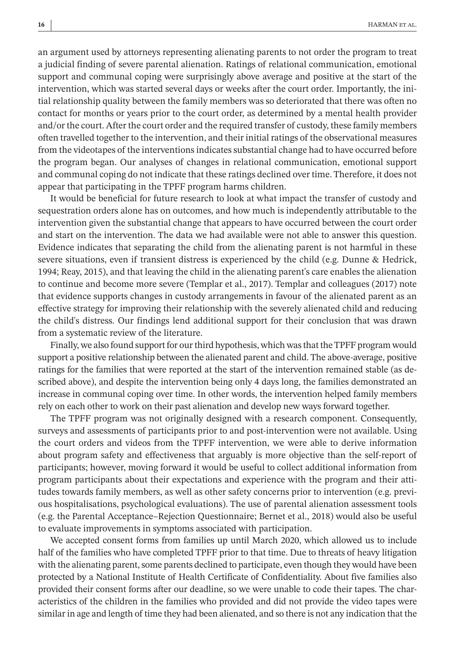an argument used by attorneys representing alienating parents to not order the program to treat a judicial finding of severe parental alienation. Ratings of relational communication, emotional support and communal coping were surprisingly above average and positive at the start of the intervention, which was started several days or weeks after the court order. Importantly, the initial relationship quality between the family members was so deteriorated that there was often no contact for months or years prior to the court order, as determined by a mental health provider and/or the court. After the court order and the required transfer of custody, these family members often travelled together to the intervention, and their initial ratings of the observational measures from the videotapes of the interventions indicates substantial change had to have occurred before the program began. Our analyses of changes in relational communication, emotional support and communal coping do not indicate that these ratings declined overtime. Therefore, it does not appear that participating in the TPFF program harms children.

It would be beneficial for future research to look at what impact the transfer of custody and sequestration orders alone has on outcomes, and how much is independently attributable to the intervention given the substantial change that appears to have occurred between the court order and start on the intervention. The data we had available were not able to answer this question. Evidence indicates that separating the child from the alienating parent is not harmful in these severe situations, even if transient distress is experienced by the child (e.g. Dunne & Hedrick, 1994; Reay, 2015), and that leaving the child in the alienating parent's care enables the alienation to continue and become more severe (Templar et al., 2017). Templar and colleagues (2017) note that evidence supports changes in custody arrangements in favour of the alienated parent as an effective strategy for improving their relationship with the severely alienated child and reducing the child's distress. Our findings lend additional support for their conclusion that was drawn from a systematic review of the literature.

Finally, we also found support for our third hypothesis, which was that the TPFF program would support a positive relationship between the alienated parent and child. The above-average, positive ratings for the families that were reported at the start of the intervention remained stable (as described above), and despite the intervention being only 4 days long, the families demonstrated an increase in communal coping over time. In other words, the intervention helped family members rely on each other to work on their past alienation and develop new ways forward together.

The TPFF program was not originally designed with a research component. Consequently, surveys and assessments of participants prior to and post-intervention were not available. Using the court orders and videos from the TPFF intervention, we were able to derive information about program safety and effectiveness that arguably is more objective than the self-report of participants; however, moving forward it would be useful to collect additional information from program participants about their expectations and experience with the program and their attitudes towards family members, as well as other safety concerns prior to intervention (e.g. previous hospitalisations, psychological evaluations). The use of parental alienation assessment tools (e.g. the Parental Acceptance–Rejection Questionnaire; Bernet et al., 2018) would also be useful to evaluate improvements in symptoms associated with participation.

We accepted consent forms from families up until March 2020, which allowed us to include half of the families who have completed TPFF prior to that time. Due to threats of heavy litigation with the alienating parent, some parents declined to participate, even though they would have been protected by a National Institute of Health Certificate of Confidentiality. About five families also provided their consent forms after our deadline, so we were unable to code their tapes. The characteristics of the children in the families who provided and did not provide the video tapes were similar in age and length of time they had been alienated, and so there is not any indication that the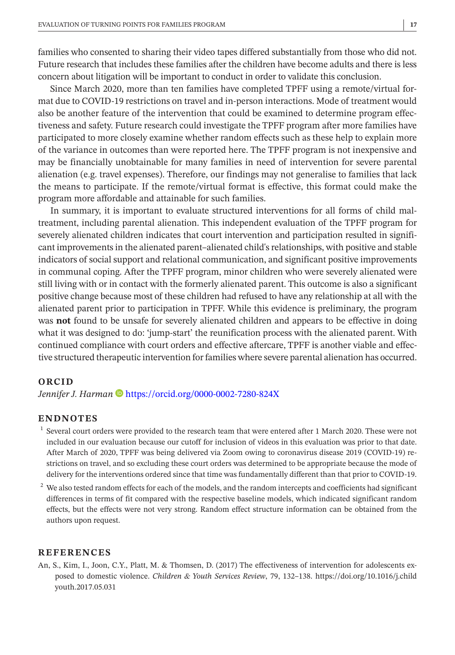families who consented to sharing their video tapes differed substantially from those who did not. Future research that includes these families after the children have become adults and there is less concern about litigation will be important to conduct in order to validate this conclusion.

Since March 2020, more than ten families have completed TPFF using a remote/virtual format due to COVID-19 restrictions on travel and in-person interactions. Mode of treatment would also be another feature of the intervention that could be examined to determine program effectiveness and safety. Future research could investigate the TPFF program after more families have participated to more closely examine whether random effects such as these help to explain more of the variance in outcomes than were reported here. The TPFF program is not inexpensive and may be financially unobtainable for many families in need of intervention for severe parental alienation (e.g. travel expenses). Therefore, our findings may not generalise to families that lack the means to participate. If the remote/virtual format is effective, this format could make the program more affordable and attainable for such families.

In summary, it is important to evaluate structured interventions for all forms of child maltreatment, including parental alienation. This independent evaluation of the TPFF program for severely alienated children indicates that court intervention and participation resulted in significant improvements in the alienated parent–alienated child's relationships, with positive and stable indicators of social support and relational communication, and significant positive improvements in communal coping. After the TPFF program, minor children who were severely alienated were still living with or in contact with the formerly alienated parent. This outcome is also a significant positive change because most of these children had refused to have any relationship at all with the alienated parent prior to participation in TPFF. While this evidence is preliminary, the program was **not** found to be unsafe for severely alienated children and appears to be effective in doing what it was designed to do: 'jump-start' the reunification process with the alienated parent. With continued compliance with court orders and effective aftercare, TPFF is another viable and effective structured therapeutic intervention forfamilies where severe parental alienation has occurred.

#### **ORCID**

*Jennifer J. Harman* **b** <https://orcid.org/0000-0002-7280-824X>

#### **ENDNOTES**

- $<sup>1</sup>$  Several court orders were provided to the research team that were entered after 1 March 2020. These were not</sup> included in our evaluation because our cutoff for inclusion of videos in this evaluation was prior to that date. After March of 2020, TPFF was being delivered via Zoom owing to coronavirus disease 2019 (COVID-19) restrictions on travel, and so excluding these court orders was determined to be appropriate because the mode of delivery for the interventions ordered since that time was fundamentally different than that prior to COVID-19.
- 2 We also tested random effects for each of the models, and the random intercepts and coefficients had significant differences in terms of fit compared with the respective baseline models, which indicated significant random effects, but the effects were not very strong. Random effect structure information can be obtained from the authors upon request.

#### **REFERENCES**

An, S., Kim, I., Joon, C.Y., Platt, M. & Thomsen, D. (2017) The effectiveness of intervention for adolescents exposed to domestic violence. *Children & Youth Services Review*, 79, 132–138. [https://doi.org/10.1016/j.child](https://doi.org/10.1016/j.childyouth.2017.05.031) [youth.2017.05.031](https://doi.org/10.1016/j.childyouth.2017.05.031)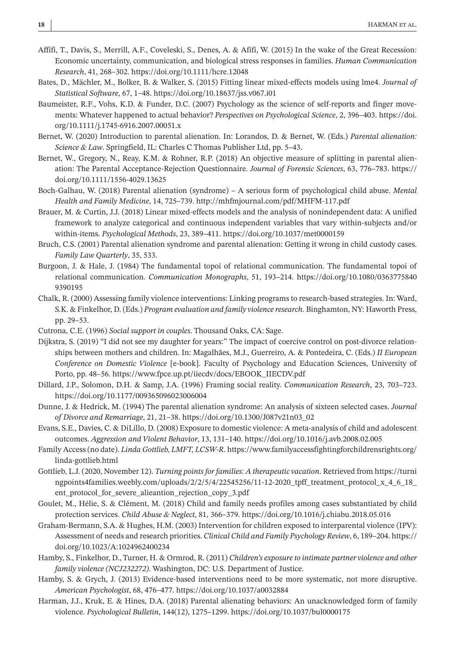- Affifi, T., Davis, S., Merrill, A.F., Coveleski, S., Denes, A. & Afifi, W. (2015) In the wake of the Great Recession: Economic uncertainty, communication, and biological stress responses in families. *Human Communication Research*, 41, 268–302. <https://doi.org/10.1111/hcre.12048>
- Bates, D., Mächler, M., Bolker, B. & Walker, S. (2015) Fitting linear mixed-effects models using lme4. *Journal of Statistical Software*, 67, 1–48. <https://doi.org/10.18637/jss.v067.i01>
- Baumeister, R.F., Vohs, K.D. & Funder, D.C. (2007) Psychology as the science of self-reports and finger movements: Whatever happened to actual behavior? *Perspectives on Psychological Science*, 2, 396–403. [https://doi.](https://doi.org/10.1111/j.1745-6916.2007.00051.x) [org/10.1111/j.1745-6916.2007.00051.x](https://doi.org/10.1111/j.1745-6916.2007.00051.x)
- Bernet, W. (2020) Introduction to parental alienation. In: Lorandos, D. & Bernet, W. (Eds.) *Parental alienation: Science & Law*. Springfield, IL: Charles C Thomas Publisher Ltd, pp. 5–43.
- Bernet, W., Gregory, N., Reay, K.M. & Rohner, R.P. (2018) An objective measure of splitting in parental alienation: The Parental Acceptance-Rejection Questionnaire. *Journal of Forensic Sciences*, 63, 776–783. [https://](https://doi.org/10.1111/1556-4029.13625) [doi.org/10.1111/1556-4029.13625](https://doi.org/10.1111/1556-4029.13625)
- Boch-Galhau, W. (2018) Parental alienation (syndrome) A serious form of psychological child abuse. *Mental Health and Family Medicine*, 14, 725–739. <http://mhfmjournal.com/pdf/MHFM-117.pdf>
- Brauer, M. & Curtin, J.J. (2018) Linear mixed-effects models and the analysis of nonindependent data: A unified framework to analyze categorical and continuous independent variables that vary within-subjects and/or within-items. *Psychological Methods*, 23, 389–411. <https://doi.org/10.1037/met0000159>
- Bruch, C.S. (2001) Parental alienation syndrome and parental alienation: Getting it wrong in child custody cases. *Family Law Quarterly*, 35, 533.
- Burgoon, J. & Hale, J. (1984) The fundamental topoi of relational communication. The fundamental topoi of relational communication. *Communication Monographs*, 51, 193–214. [https://doi.org/10.1080/0363775840](https://doi.org/10.1080/03637758409390195) [9390195](https://doi.org/10.1080/03637758409390195)
- Chalk, R. (2000) Assessing family violence interventions: Linking programs to research-based strategies. In: Ward, S.K. & Finkelhor, D. (Eds.) *Program evaluation and family violence research*. Binghamton, NY: Haworth Press, pp. 29–53.
- Cutrona, C.E. (1996) *Social support in couples*. Thousand Oaks, CA: Sage.
- Dijkstra, S. (2019) "I did not see my daughter for years:" The impact of coercive control on post-divorce relationships between mothers and children. In: Magalhães, M.J., Guerreiro, A. & Pontedeira, C. (Eds.) *II European Conference on Domestic Violence* [e-book]. Faculty of Psychology and Education Sciences, University of Porto, pp. 48–56. [https://www.fpce.up.pt/iiecdv/docs/EBOOK\\_IIECDV.pdf](https://www.fpce.up.pt/iiecdv/docs/EBOOK_IIECDV.pdf)
- Dillard, J.P., Solomon, D.H. & Samp, J.A. (1996) Framing social reality. *Communication Research*, 23, 703–723. <https://doi.org/10.1177/009365096023006004>
- Dunne, J. & Hedrick, M. (1994) The parental alienation syndrome: An analysis of sixteen selected cases. *Journal of Divorce and Remarriage*, 21, 21–38. [https://doi.org/10.1300/J087v21n03\\_02](https://doi.org/10.1300/J087v21n03_02)
- Evans, S.E., Davies, C. & DiLillo, D. (2008) Exposure to domestic violence: A meta-analysis of child and adolescent outcomes. *Aggression and Violent Behavior*, 13, 131–140. <https://doi.org/10.1016/j.avb.2008.02.005>
- Family Access (no date). *Linda Gottlieb, LMFT, LCSW-R*. [https://www.familyaccessfightingforchildrensrights.org/](https://www.familyaccessfightingforchildrensrights.org/linda-gottlieb.html) [linda-gottlieb.html](https://www.familyaccessfightingforchildrensrights.org/linda-gottlieb.html)
- Gottlieb, L.J. (2020, November 12). *Turning points for families: A therapeutic vacation*. Retrieved from [https://turni](https://turningpoints4families.weebly.com/uploads/2/2/5/4/22545256/11-12-2020_tpff_treatment_protocol_x_4_6_18_ent_protocol_for_severe_alieantion_rejection_copy_3.pdf) ngpoints4families.weebly.com/uploads/2/2/5/4/22545256/11-12-2020 tpff treatment protocol x 4 6 18 [ent\\_protocol\\_for\\_severe\\_alieantion\\_rejection\\_copy\\_3.pdf](https://turningpoints4families.weebly.com/uploads/2/2/5/4/22545256/11-12-2020_tpff_treatment_protocol_x_4_6_18_ent_protocol_for_severe_alieantion_rejection_copy_3.pdf)
- Goulet, M., Hélie, S. & Clément, M. (2018) Child and family needs profiles among cases substantiated by child protection services. *Child Abuse & Neglect*, 81, 366–379. <https://doi.org/10.1016/j.chiabu.2018.05.016>
- Graham-Bermann, S.A. & Hughes, H.M. (2003) Intervention for children exposed to interparental violence (IPV): Assessment of needs and research priorities. *Clinical Child and Family Psychology Review*, 6, 189–204. [https://](https://doi.org/10.1023/A:1024962400234) [doi.org/10.1023/A:1024962400234](https://doi.org/10.1023/A:1024962400234)
- Hamby, S., Finkelhor, D., Turner, H. & Ormrod, R. (2011) *Children's exposure to intimate partner violence and other family violence (NCJ232272)*. Washington, DC: U.S. Department of Justice.
- Hamby, S. & Grych, J. (2013) Evidence-based interventions need to be more systematic, not more disruptive. *American Psychologist*, 68, 476–477. <https://doi.org/10.1037/a0032884>
- Harman, J.J., Kruk, E. & Hines, D.A. (2018) Parental alienating behaviors: An unacknowledged form of family violence. *Psychological Bulletin*, 144(12), 1275–1299. <https://doi.org/10.1037/bul0000175>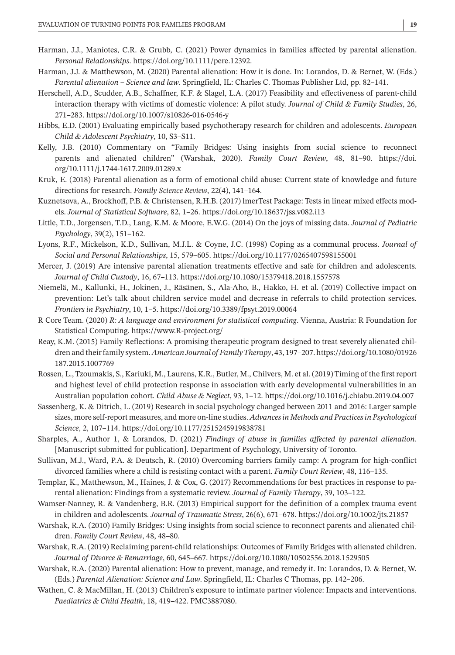- Harman, J.J., Maniotes, C.R. & Grubb, C. (2021) Power dynamics in families affected by parental alienation. *Personal Relationships*. <https://doi.org/10.1111/pere.12392>.
- Harman, J.J. & Matthewson, M. (2020) Parental alienation: How it is done. In: Lorandos, D. & Bernet, W. (Eds.) *Parental alienation – Science and law*. Springfield, IL: Charles C. Thomas Publisher Ltd, pp. 82–141.
- Herschell, A.D., Scudder, A.B., Schaffner, K.F. & Slagel, L.A. (2017) Feasibility and effectiveness of parent-child interaction therapy with victims of domestic violence: A pilot study. *Journal of Child & Family Studies*, 26, 271–283. <https://doi.org/10.1007/s10826-016-0546-y>
- Hibbs, E.D. (2001) Evaluating empirically based psychotherapy research for children and adolescents. *European Child & Adolescent Psychiatry*, 10, S3–S11.
- Kelly, J.B. (2010) Commentary on "Family Bridges: Using insights from social science to reconnect parents and alienated children" (Warshak, 2020). *Family Court Review*, 48, 81–90. [https://doi.](https://doi.org/10.1111/j.1744-1617.2009.01289.x) [org/10.1111/j.1744-1617.2009.01289.x](https://doi.org/10.1111/j.1744-1617.2009.01289.x)
- Kruk, E. (2018) Parental alienation as a form of emotional child abuse: Current state of knowledge and future directions for research. *Family Science Review*, 22(4), 141–164.
- Kuznetsova, A., Brockhoff, P.B. & Christensen, R.H.B. (2017) lmerTest Package: Tests in linear mixed effects models. *Journal of Statistical Software*, 82, 1–26. <https://doi.org/10.18637/jss.v082.i13>
- Little, T.D., Jorgensen, T.D., Lang, K.M. & Moore, E.W.G. (2014) On the joys of missing data. *Journal of Pediatric Psychology*, 39(2), 151–162.
- Lyons, R.F., Mickelson, K.D., Sullivan, M.J.L. & Coyne, J.C. (1998) Coping as a communal process. *Journal of Social and Personal Relationships*, 15, 579–605. <https://doi.org/10.1177/0265407598155001>
- Mercer, J. (2019) Are intensive parental alienation treatments effective and safe for children and adolescents. *Journal of Child Custody*, 16, 67–113. <https://doi.org/10.1080/15379418.2018.1557578>
- Niemelä, M., Kallunki, H., Jokinen, J., Räsänen, S., Ala-Aho, B., Hakko, H. et al. (2019) Collective impact on prevention: Let's talk about children service model and decrease in referrals to child protection services. *Frontiers in Psychiatry*, 10, 1–5. <https://doi.org/10.3389/fpsyt.2019.00064>
- R Core Team. (2020) *R: A language and environment for statistical computing*. Vienna, Austria: R Foundation for Statistical Computing. <https://www.R-project.org/>
- Reay, K.M. (2015) Family Reflections: A promising therapeutic program designed to treat severely alienated children and theirfamily system.*American Journal of Family Therapy*, 43, 197–207. [https://doi.org/10.1080/01926](https://doi.org/10.1080/01926187.2015.1007769) [187.2015.1007769](https://doi.org/10.1080/01926187.2015.1007769)
- Rossen, L., Tzoumakis, S., Kariuki, M., Laurens, K.R., Butler, M., Chilvers, M. et al. (2019) Timing of the firstreport and highest level of child protection response in association with early developmental vulnerabilities in an Australian population cohort. *Child Abuse & Neglect*, 93, 1–12. <https://doi.org/10.1016/j.chiabu.2019.04.007>
- Sassenberg, K. & Ditrich, L. (2019) Research in social psychology changed between 2011 and 2016: Larger sample sizes, more self-report measures, and more on-line studies. *Advances in Methods and Practices in Psychological Science*, 2, 107–114. <https://doi.org/10.1177/2515245919838781>
- Sharples, A., Author 1, & Lorandos, D. (2021) *Findings of abuse in families affected by parental alienation*. [Manuscript submitted for publication]. Department of Psychology, University of Toronto.
- Sullivan, M.J., Ward, P.A. & Deutsch, R. (2010) Overcoming barriers family camp: A program for high-conflict divorced families where a child is resisting contact with a parent. *Family Court Review*, 48, 116–135.
- Templar, K., Matthewson, M., Haines, J. & Cox, G. (2017) Recommendations for best practices in response to parental alienation: Findings from a systematic review. *Journal of Family Therapy*, 39, 103–122.
- Wamser-Nanney, R. & Vandenberg, B.R. (2013) Empirical support for the definition of a complex trauma event in children and adolescents. *Journal of Traumatic Stress*, 26(6), 671–678. <https://doi.org/10.1002/jts.21857>
- Warshak, R.A. (2010) Family Bridges: Using insights from social science to reconnect parents and alienated children. *Family Court Review*, 48, 48–80.
- Warshak, R.A. (2019) Reclaiming parent-child relationships: Outcomes of Family Bridges with alienated children. *Journal of Divorce & Remarriage*, 60, 645–667. <https://doi.org/10.1080/10502556.2018.1529505>
- Warshak, R.A. (2020) Parental alienation: How to prevent, manage, and remedy it. In: Lorandos, D. & Bernet, W. (Eds.) *Parental Alienation: Science and Law*. Springfield, IL: Charles C Thomas, pp. 142–206.
- Wathen, C. & MacMillan, H. (2013) Children's exposure to intimate partner violence: Impacts and interventions. *Paediatrics & Child Health*, 18, 419–422. PMC3887080.